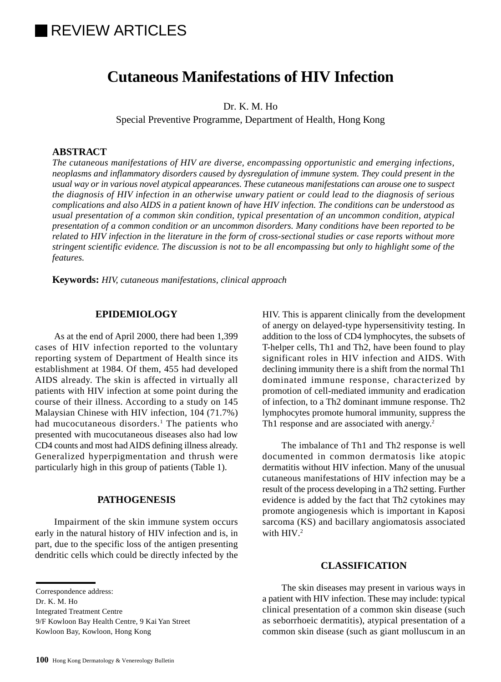# **IREVIEW ARTICLES**

# **Cutaneous Manifestations of HIV Infection**

Dr. K. M. Ho

Special Preventive Programme, Department of Health, Hong Kong

# **ABSTRACT**

*The cutaneous manifestations of HIV are diverse, encompassing opportunistic and emerging infections, neoplasms and inflammatory disorders caused by dysregulation of immune system. They could present in the usual way or in various novel atypical appearances. These cutaneous manifestations can arouse one to suspect the diagnosis of HIV infection in an otherwise unwary patient or could lead to the diagnosis of serious complications and also AIDS in a patient known of have HIV infection. The conditions can be understood as usual presentation of a common skin condition, typical presentation of an uncommon condition, atypical presentation of a common condition or an uncommon disorders. Many conditions have been reported to be related to HIV infection in the literature in the form of cross-sectional studies or case reports without more stringent scientific evidence. The discussion is not to be all encompassing but only to highlight some of the features.*

**Keywords:** *HIV, cutaneous manifestations, clinical approach*

## **EPIDEMIOLOGY**

As at the end of April 2000, there had been 1,399 cases of HIV infection reported to the voluntary reporting system of Department of Health since its establishment at 1984. Of them, 455 had developed AIDS already. The skin is affected in virtually all patients with HIV infection at some point during the course of their illness. According to a study on 145 Malaysian Chinese with HIV infection, 104 (71.7%) had mucocutaneous disorders.<sup>1</sup> The patients who presented with mucocutaneous diseases also had low CD4 counts and most had AIDS defining illness already. Generalized hyperpigmentation and thrush were particularly high in this group of patients (Table 1).

#### **PATHOGENESIS**

Impairment of the skin immune system occurs early in the natural history of HIV infection and is, in part, due to the specific loss of the antigen presenting dendritic cells which could be directly infected by the

Dr. K. M. Ho

Integrated Treatment Centre

9/F Kowloon Bay Health Centre, 9 Kai Yan Street

Kowloon Bay, Kowloon, Hong Kong

HIV. This is apparent clinically from the development of anergy on delayed-type hypersensitivity testing. In addition to the loss of CD4 lymphocytes, the subsets of T-helper cells, Th1 and Th2, have been found to play significant roles in HIV infection and AIDS. With declining immunity there is a shift from the normal Th1 dominated immune response, characterized by promotion of cell-mediated immunity and eradication of infection, to a Th2 dominant immune response. Th2 lymphocytes promote humoral immunity, suppress the Th1 response and are associated with anergy.<sup>2</sup>

The imbalance of Th1 and Th2 response is well documented in common dermatosis like atopic dermatitis without HIV infection. Many of the unusual cutaneous manifestations of HIV infection may be a result of the process developing in a Th2 setting. Further evidence is added by the fact that Th2 cytokines may promote angiogenesis which is important in Kaposi sarcoma (KS) and bacillary angiomatosis associated with HIV.<sup>2</sup>

# **CLASSIFICATION**

The skin diseases may present in various ways in a patient with HIV infection. These may include: typical clinical presentation of a common skin disease (such as seborrhoeic dermatitis), atypical presentation of a common skin disease (such as giant molluscum in an

Correspondence address: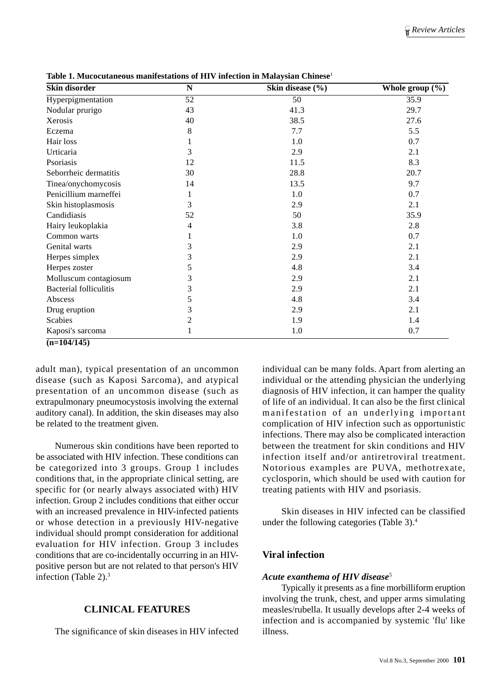| Skin disorder                 | $\overline{\bf N}$ | Skin disease (%) | Whole group $(\% )$ |
|-------------------------------|--------------------|------------------|---------------------|
| Hyperpigmentation             | $\overline{52}$    | 50               | 35.9                |
| Nodular prurigo               | 43                 | 41.3             | 29.7                |
| Xerosis                       | 40                 | 38.5             | 27.6                |
| Eczema                        | $\,8\,$            | 7.7              | 5.5                 |
| Hair loss                     |                    | 1.0              | 0.7                 |
| Urticaria                     | 3                  | 2.9              | 2.1                 |
| Psoriasis                     | 12                 | 11.5             | 8.3                 |
| Seborrheic dermatitis         | 30                 | 28.8             | 20.7                |
| Tinea/onychomycosis           | 14                 | 13.5             | 9.7                 |
| Penicillium marneffei         | 1                  | 1.0              | 0.7                 |
| Skin histoplasmosis           | 3                  | 2.9              | 2.1                 |
| Candidiasis                   | 52                 | 50               | 35.9                |
| Hairy leukoplakia             | 4                  | 3.8              | 2.8                 |
| Common warts                  | 1                  | 1.0              | 0.7                 |
| Genital warts                 | 3                  | 2.9              | 2.1                 |
| Herpes simplex                | 3                  | 2.9              | 2.1                 |
| Herpes zoster                 | 5                  | 4.8              | 3.4                 |
| Molluscum contagiosum         | 3                  | 2.9              | 2.1                 |
| <b>Bacterial folliculitis</b> | 3                  | 2.9              | 2.1                 |
| Abscess                       | 5                  | 4.8              | 3.4                 |
| Drug eruption                 | 3                  | 2.9              | 2.1                 |
| <b>Scabies</b>                | $\overline{c}$     | 1.9              | 1.4                 |
| Kaposi's sarcoma              | 1                  | 1.0              | 0.7                 |
| $(n=104/145)$                 |                    |                  |                     |

**Table 1. Mucocutaneous manifestations of HIV infection in Malaysian Chinese**<sup>1</sup>

adult man), typical presentation of an uncommon disease (such as Kaposi Sarcoma), and atypical presentation of an uncommon disease (such as extrapulmonary pneumocystosis involving the external auditory canal). In addition, the skin diseases may also be related to the treatment given.

Numerous skin conditions have been reported to be associated with HIV infection. These conditions can be categorized into 3 groups. Group 1 includes conditions that, in the appropriate clinical setting, are specific for (or nearly always associated with) HIV infection. Group 2 includes conditions that either occur with an increased prevalence in HIV-infected patients or whose detection in a previously HIV-negative individual should prompt consideration for additional evaluation for HIV infection. Group 3 includes conditions that are co-incidentally occurring in an HIVpositive person but are not related to that person's HIV infection (Table 2).3

## **CLINICAL FEATURES**

The significance of skin diseases in HIV infected

individual can be many folds. Apart from alerting an individual or the attending physician the underlying diagnosis of HIV infection, it can hamper the quality of life of an individual. It can also be the first clinical manifestation of an underlying important complication of HIV infection such as opportunistic infections. There may also be complicated interaction between the treatment for skin conditions and HIV infection itself and/or antiretroviral treatment. Notorious examples are PUVA, methotrexate, cyclosporin, which should be used with caution for treating patients with HIV and psoriasis.

Skin diseases in HIV infected can be classified under the following categories (Table 3).4

## **Viral infection**

#### *Acute exanthema of HIV disease*<sup>5</sup>

Typically it presents as a fine morbilliform eruption involving the trunk, chest, and upper arms simulating measles/rubella. It usually develops after 2-4 weeks of infection and is accompanied by systemic 'flu' like illness.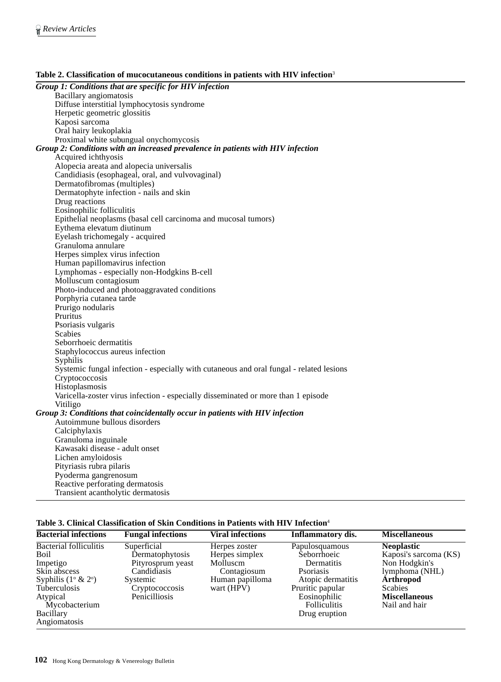| Group 1: Conditions that are specific for HIV infection                                                      |  |  |  |  |
|--------------------------------------------------------------------------------------------------------------|--|--|--|--|
| Bacillary angiomatosis                                                                                       |  |  |  |  |
| Diffuse interstitial lymphocytosis syndrome                                                                  |  |  |  |  |
| Herpetic geometric glossitis                                                                                 |  |  |  |  |
| Kaposi sarcoma                                                                                               |  |  |  |  |
| Oral hairy leukoplakia                                                                                       |  |  |  |  |
| Proximal white subungual onychomycosis                                                                       |  |  |  |  |
| Group 2: Conditions with an increased prevalence in patients with HIV infection                              |  |  |  |  |
| Acquired ichthyosis                                                                                          |  |  |  |  |
| Alopecia areata and alopecia universalis                                                                     |  |  |  |  |
| Candidiasis (esophageal, oral, and vulvovaginal)                                                             |  |  |  |  |
| Dermatofibromas (multiples)                                                                                  |  |  |  |  |
| Dermatophyte infection - nails and skin                                                                      |  |  |  |  |
| Drug reactions                                                                                               |  |  |  |  |
| Eosinophilic folliculitis                                                                                    |  |  |  |  |
| Epithelial neoplasms (basal cell carcinoma and mucosal tumors)                                               |  |  |  |  |
| Eythema elevatum diutinum                                                                                    |  |  |  |  |
| Eyelash trichomegaly - acquired                                                                              |  |  |  |  |
| Granuloma annulare                                                                                           |  |  |  |  |
| Herpes simplex virus infection                                                                               |  |  |  |  |
| Human papillomavirus infection                                                                               |  |  |  |  |
| Lymphomas - especially non-Hodgkins B-cell                                                                   |  |  |  |  |
| Molluscum contagiosum                                                                                        |  |  |  |  |
| Photo-induced and photoaggravated conditions                                                                 |  |  |  |  |
| Porphyria cutanea tarde                                                                                      |  |  |  |  |
| Prurigo nodularis                                                                                            |  |  |  |  |
| Pruritus                                                                                                     |  |  |  |  |
| Psoriasis vulgaris                                                                                           |  |  |  |  |
| <b>Scabies</b>                                                                                               |  |  |  |  |
| Seborrhoeic dermatitis                                                                                       |  |  |  |  |
| Staphylococcus aureus infection                                                                              |  |  |  |  |
| Syphilis                                                                                                     |  |  |  |  |
| Systemic fungal infection - especially with cutaneous and oral fungal - related lesions                      |  |  |  |  |
| Cryptococcosis                                                                                               |  |  |  |  |
| Histoplasmosis                                                                                               |  |  |  |  |
| Varicella-zoster virus infection - especially disseminated or more than 1 episode                            |  |  |  |  |
| Vitiligo                                                                                                     |  |  |  |  |
| Group 3: Conditions that coincidentally occur in patients with HIV infection<br>Autoimmune bullous disorders |  |  |  |  |
|                                                                                                              |  |  |  |  |
| Calciphylaxis                                                                                                |  |  |  |  |
| Granuloma inguinale<br>Kawasaki disease - adult onset                                                        |  |  |  |  |
| Lichen amyloidosis                                                                                           |  |  |  |  |
| Pityriasis rubra pilaris                                                                                     |  |  |  |  |
|                                                                                                              |  |  |  |  |
| Pyoderma gangrenosum                                                                                         |  |  |  |  |

#### **Table 2. Classification of mucocutaneous conditions in patients with HIV infection**<sup>3</sup>

## **Table 3. Clinical Classification of Skin Conditions in Patients with HIV Infection**<sup>4</sup>

| <b>Bacterial infections</b>                                                                                                                                                        | <b>Fungal infections</b>                                                                                          | <b>Viral infections</b>                                                                     | <b>Inflammatory dis.</b>                                                                                                                                          | <b>Miscellaneous</b>                                                                                                                                         |
|------------------------------------------------------------------------------------------------------------------------------------------------------------------------------------|-------------------------------------------------------------------------------------------------------------------|---------------------------------------------------------------------------------------------|-------------------------------------------------------------------------------------------------------------------------------------------------------------------|--------------------------------------------------------------------------------------------------------------------------------------------------------------|
| <b>Bacterial folliculitis</b><br>Boil<br>Impetigo<br>Skin abscess<br>Syphilis $(1^{\circ} \& 2^{\circ})$<br>Tuberculosis<br>Atypical<br>Mycobacterium<br>Bacillary<br>Angiomatosis | Superficial<br>Dermatophytosis<br>Pityrosprum yeast<br>Candidiasis<br>Systemic<br>Cryptococcosis<br>Penicilliosis | Herpes zoster<br>Herpes simplex<br>Molluscm<br>Contagiosum<br>Human papilloma<br>wart (HPV) | Papulosquamous<br>Seborrhoeic<br>Dermatitis<br><b>P</b> soriasis<br>Atopic dermatitis<br>Pruritic papular<br>Eosinophilic<br><b>Folliculitis</b><br>Drug eruption | <b>Neoplastic</b><br>Kaposi's sarcoma (KS)<br>Non Hodgkin's<br>lymphoma (NHL)<br><b>Arthropod</b><br><b>Scabies</b><br><b>Miscellaneous</b><br>Nail and hair |

Reactive perforating dermatosis Transient acantholytic dermatosis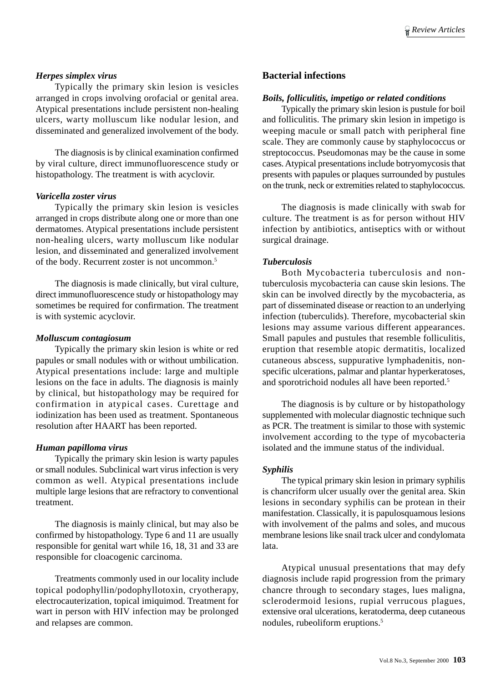## *Herpes simplex virus*

Typically the primary skin lesion is vesicles arranged in crops involving orofacial or genital area. Atypical presentations include persistent non-healing ulcers, warty molluscum like nodular lesion, and disseminated and generalized involvement of the body.

The diagnosis is by clinical examination confirmed by viral culture, direct immunofluorescence study or histopathology. The treatment is with acyclovir.

#### *Varicella zoster virus*

Typically the primary skin lesion is vesicles arranged in crops distribute along one or more than one dermatomes. Atypical presentations include persistent non-healing ulcers, warty molluscum like nodular lesion, and disseminated and generalized involvement of the body. Recurrent zoster is not uncommon.5

The diagnosis is made clinically, but viral culture, direct immunofluorescence study or histopathology may sometimes be required for confirmation. The treatment is with systemic acyclovir.

#### *Molluscum contagiosum*

Typically the primary skin lesion is white or red papules or small nodules with or without umbilication. Atypical presentations include: large and multiple lesions on the face in adults. The diagnosis is mainly by clinical, but histopathology may be required for confirmation in atypical cases. Curettage and iodinization has been used as treatment. Spontaneous resolution after HAART has been reported.

#### *Human papilloma virus*

Typically the primary skin lesion is warty papules or small nodules. Subclinical wart virus infection is very common as well. Atypical presentations include multiple large lesions that are refractory to conventional treatment.

The diagnosis is mainly clinical, but may also be confirmed by histopathology. Type 6 and 11 are usually responsible for genital wart while 16, 18, 31 and 33 are responsible for cloacogenic carcinoma.

Treatments commonly used in our locality include topical podophyllin/podophyllotoxin, cryotherapy, electrocauterization, topical imiquimod. Treatment for wart in person with HIV infection may be prolonged and relapses are common.

## **Bacterial infections**

#### *Boils, folliculitis, impetigo or related conditions*

Typically the primary skin lesion is pustule for boil and folliculitis. The primary skin lesion in impetigo is weeping macule or small patch with peripheral fine scale. They are commonly cause by staphylococcus or streptococcus. Pseudomonas may be the cause in some cases. Atypical presentations include botryomycosis that presents with papules or plaques surrounded by pustules on the trunk, neck or extremities related to staphylococcus.

The diagnosis is made clinically with swab for culture. The treatment is as for person without HIV infection by antibiotics, antiseptics with or without surgical drainage.

#### *Tuberculosis*

Both Mycobacteria tuberculosis and nontuberculosis mycobacteria can cause skin lesions. The skin can be involved directly by the mycobacteria, as part of disseminated disease or reaction to an underlying infection (tuberculids). Therefore, mycobacterial skin lesions may assume various different appearances. Small papules and pustules that resemble folliculitis, eruption that resemble atopic dermatitis, localized cutaneous abscess, suppurative lymphadenitis, nonspecific ulcerations, palmar and plantar hyperkeratoses, and sporotrichoid nodules all have been reported.5

The diagnosis is by culture or by histopathology supplemented with molecular diagnostic technique such as PCR. The treatment is similar to those with systemic involvement according to the type of mycobacteria isolated and the immune status of the individual.

#### *Syphilis*

The typical primary skin lesion in primary syphilis is chancriform ulcer usually over the genital area. Skin lesions in secondary syphilis can be protean in their manifestation. Classically, it is papulosquamous lesions with involvement of the palms and soles, and mucous membrane lesions like snail track ulcer and condylomata lata.

Atypical unusual presentations that may defy diagnosis include rapid progression from the primary chancre through to secondary stages, lues maligna, sclerodermoid lesions, rupial verrucous plagues, extensive oral ulcerations, keratoderma, deep cutaneous nodules, rubeoliform eruptions.5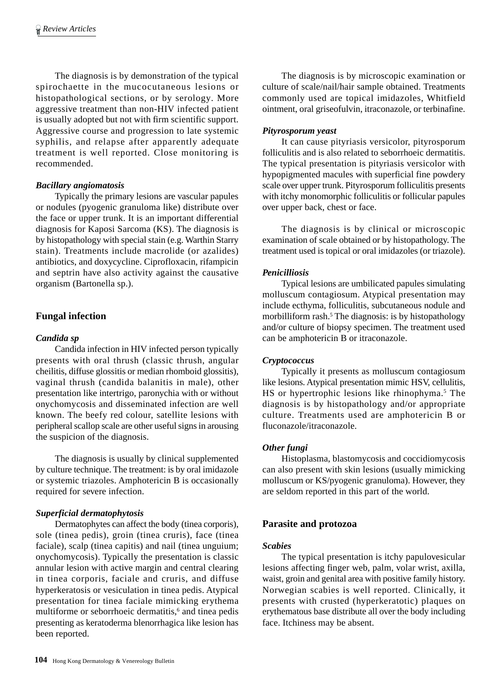The diagnosis is by demonstration of the typical spirochaette in the mucocutaneous lesions or histopathological sections, or by serology. More aggressive treatment than non-HIV infected patient is usually adopted but not with firm scientific support. Aggressive course and progression to late systemic syphilis, and relapse after apparently adequate treatment is well reported. Close monitoring is recommended.

# *Bacillary angiomatosis*

Typically the primary lesions are vascular papules or nodules (pyogenic granuloma like) distribute over the face or upper trunk. It is an important differential diagnosis for Kaposi Sarcoma (KS). The diagnosis is by histopathology with special stain (e.g. Warthin Starry stain). Treatments include macrolide (or azalides) antibiotics, and doxycycline. Ciprofloxacin, rifampicin and septrin have also activity against the causative organism (Bartonella sp.).

# **Fungal infection**

# *Candida sp*

Candida infection in HIV infected person typically presents with oral thrush (classic thrush, angular cheilitis, diffuse glossitis or median rhomboid glossitis), vaginal thrush (candida balanitis in male), other presentation like intertrigo, paronychia with or without onychomycosis and disseminated infection are well known. The beefy red colour, satellite lesions with peripheral scallop scale are other useful signs in arousing the suspicion of the diagnosis.

The diagnosis is usually by clinical supplemented by culture technique. The treatment: is by oral imidazole or systemic triazoles. Amphotericin B is occasionally required for severe infection.

# *Superficial dermatophytosis*

Dermatophytes can affect the body (tinea corporis), sole (tinea pedis), groin (tinea cruris), face (tinea faciale), scalp (tinea capitis) and nail (tinea unguium; onychomycosis). Typically the presentation is classic annular lesion with active margin and central clearing in tinea corporis, faciale and cruris, and diffuse hyperkeratosis or vesiculation in tinea pedis. Atypical presentation for tinea faciale mimicking erythema multiforme or seborrhoeic dermatitis,<sup>6</sup> and tinea pedis presenting as keratoderma blenorrhagica like lesion has been reported.

The diagnosis is by microscopic examination or culture of scale/nail/hair sample obtained. Treatments commonly used are topical imidazoles, Whitfield ointment, oral griseofulvin, itraconazole, or terbinafine.

## *Pityrosporum yeast*

It can cause pityriasis versicolor, pityrosporum folliculitis and is also related to seborrhoeic dermatitis. The typical presentation is pityriasis versicolor with hypopigmented macules with superficial fine powdery scale over upper trunk. Pityrosporum folliculitis presents with itchy monomorphic folliculitis or follicular papules over upper back, chest or face.

The diagnosis is by clinical or microscopic examination of scale obtained or by histopathology. The treatment used is topical or oral imidazoles (or triazole).

## *Penicilliosis*

Typical lesions are umbilicated papules simulating molluscum contagiosum. Atypical presentation may include ecthyma, folliculitis, subcutaneous nodule and morbilliform rash.<sup>5</sup> The diagnosis: is by histopathology and/or culture of biopsy specimen. The treatment used can be amphotericin B or itraconazole.

## *Cryptococcus*

Typically it presents as molluscum contagiosum like lesions. Atypical presentation mimic HSV, cellulitis, HS or hypertrophic lesions like rhinophyma.<sup>5</sup> The diagnosis is by histopathology and/or appropriate culture. Treatments used are amphotericin B or fluconazole/itraconazole.

# *Other fungi*

Histoplasma, blastomycosis and coccidiomycosis can also present with skin lesions (usually mimicking molluscum or KS/pyogenic granuloma). However, they are seldom reported in this part of the world.

# **Parasite and protozoa**

## *Scabies*

The typical presentation is itchy papulovesicular lesions affecting finger web, palm, volar wrist, axilla, waist, groin and genital area with positive family history. Norwegian scabies is well reported. Clinically, it presents with crusted (hyperkeratotic) plaques on erythematous base distribute all over the body including face. Itchiness may be absent.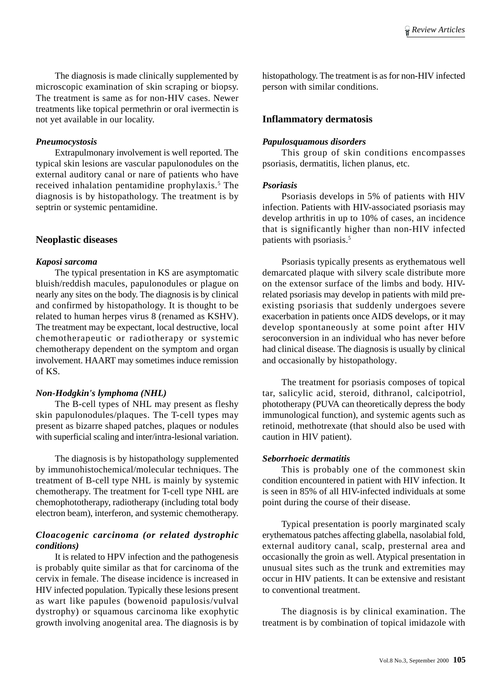The diagnosis is made clinically supplemented by microscopic examination of skin scraping or biopsy. The treatment is same as for non-HIV cases. Newer treatments like topical permethrin or oral ivermectin is not yet available in our locality.

## *Pneumocystosis*

Extrapulmonary involvement is well reported. The typical skin lesions are vascular papulonodules on the external auditory canal or nare of patients who have received inhalation pentamidine prophylaxis.<sup>5</sup> The diagnosis is by histopathology. The treatment is by septrin or systemic pentamidine.

#### **Neoplastic diseases**

#### *Kaposi sarcoma*

The typical presentation in KS are asymptomatic bluish/reddish macules, papulonodules or plague on nearly any sites on the body. The diagnosis is by clinical and confirmed by histopathology. It is thought to be related to human herpes virus 8 (renamed as KSHV). The treatment may be expectant, local destructive, local chemotherapeutic or radiotherapy or systemic chemotherapy dependent on the symptom and organ involvement. HAART may sometimes induce remission of KS.

#### *Non-Hodgkin's lymphoma (NHL)*

The B-cell types of NHL may present as fleshy skin papulonodules/plaques. The T-cell types may present as bizarre shaped patches, plaques or nodules with superficial scaling and inter/intra-lesional variation.

The diagnosis is by histopathology supplemented by immunohistochemical/molecular techniques. The treatment of B-cell type NHL is mainly by systemic chemotherapy. The treatment for T-cell type NHL are chemophototherapy, radiotherapy (including total body electron beam), interferon, and systemic chemotherapy.

### *Cloacogenic carcinoma (or related dystrophic conditions)*

It is related to HPV infection and the pathogenesis is probably quite similar as that for carcinoma of the cervix in female. The disease incidence is increased in HIV infected population. Typically these lesions present as wart like papules (bowenoid papulosis/vulval dystrophy) or squamous carcinoma like exophytic growth involving anogenital area. The diagnosis is by

histopathology. The treatment is as for non-HIV infected person with similar conditions.

#### **Inflammatory dermatosis**

#### *Papulosquamous disorders*

This group of skin conditions encompasses psoriasis, dermatitis, lichen planus, etc.

#### *Psoriasis*

Psoriasis develops in 5% of patients with HIV infection. Patients with HIV-associated psoriasis may develop arthritis in up to 10% of cases, an incidence that is significantly higher than non-HIV infected patients with psoriasis.<sup>5</sup>

Psoriasis typically presents as erythematous well demarcated plaque with silvery scale distribute more on the extensor surface of the limbs and body. HIVrelated psoriasis may develop in patients with mild preexisting psoriasis that suddenly undergoes severe exacerbation in patients once AIDS develops, or it may develop spontaneously at some point after HIV seroconversion in an individual who has never before had clinical disease. The diagnosis is usually by clinical and occasionally by histopathology.

The treatment for psoriasis composes of topical tar, salicylic acid, steroid, dithranol, calcipotriol, phototherapy (PUVA can theoretically depress the body immunological function), and systemic agents such as retinoid, methotrexate (that should also be used with caution in HIV patient).

#### *Seborrhoeic dermatitis*

This is probably one of the commonest skin condition encountered in patient with HIV infection. It is seen in 85% of all HIV-infected individuals at some point during the course of their disease.

Typical presentation is poorly marginated scaly erythematous patches affecting glabella, nasolabial fold, external auditory canal, scalp, presternal area and occasionally the groin as well. Atypical presentation in unusual sites such as the trunk and extremities may occur in HIV patients. It can be extensive and resistant to conventional treatment.

The diagnosis is by clinical examination. The treatment is by combination of topical imidazole with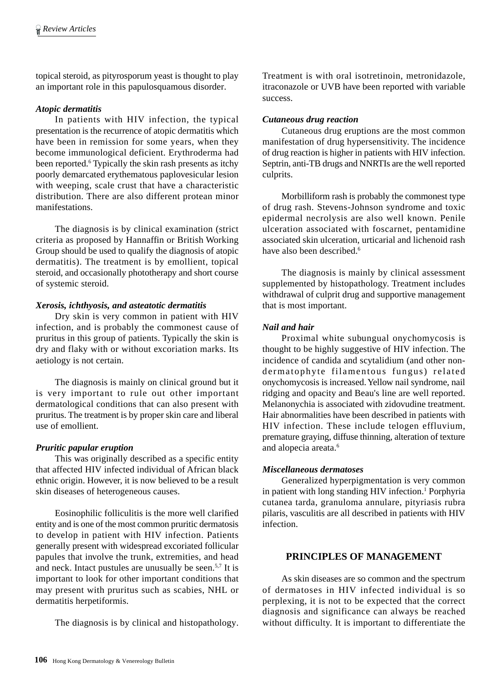topical steroid, as pityrosporum yeast is thought to play an important role in this papulosquamous disorder.

## *Atopic dermatitis*

In patients with HIV infection, the typical presentation is the recurrence of atopic dermatitis which have been in remission for some years, when they become immunological deficient. Erythroderma had been reported.<sup>6</sup> Typically the skin rash presents as itchy poorly demarcated erythematous paplovesicular lesion with weeping, scale crust that have a characteristic distribution. There are also different protean minor manifestations.

The diagnosis is by clinical examination (strict criteria as proposed by Hannaffin or British Working Group should be used to qualify the diagnosis of atopic dermatitis). The treatment is by emollient, topical steroid, and occasionally phototherapy and short course of systemic steroid.

## *Xerosis, ichthyosis, and asteatotic dermatitis*

Dry skin is very common in patient with HIV infection, and is probably the commonest cause of pruritus in this group of patients. Typically the skin is dry and flaky with or without excoriation marks. Its aetiology is not certain.

The diagnosis is mainly on clinical ground but it is very important to rule out other important dermatological conditions that can also present with pruritus. The treatment is by proper skin care and liberal use of emollient.

## *Pruritic papular eruption*

This was originally described as a specific entity that affected HIV infected individual of African black ethnic origin. However, it is now believed to be a result skin diseases of heterogeneous causes.

Eosinophilic folliculitis is the more well clarified entity and is one of the most common pruritic dermatosis to develop in patient with HIV infection. Patients generally present with widespread excoriated follicular papules that involve the trunk, extremities, and head and neck. Intact pustules are unusually be seen.5,7 It is important to look for other important conditions that may present with pruritus such as scabies, NHL or dermatitis herpetiformis.

The diagnosis is by clinical and histopathology.

Treatment is with oral isotretinoin, metronidazole, itraconazole or UVB have been reported with variable success.

## *Cutaneous drug reaction*

Cutaneous drug eruptions are the most common manifestation of drug hypersensitivity. The incidence of drug reaction is higher in patients with HIV infection. Septrin, anti-TB drugs and NNRTIs are the well reported culprits.

Morbilliform rash is probably the commonest type of drug rash. Stevens-Johnson syndrome and toxic epidermal necrolysis are also well known. Penile ulceration associated with foscarnet, pentamidine associated skin ulceration, urticarial and lichenoid rash have also been described.<sup>6</sup>

The diagnosis is mainly by clinical assessment supplemented by histopathology. Treatment includes withdrawal of culprit drug and supportive management that is most important.

## *Nail and hair*

Proximal white subungual onychomycosis is thought to be highly suggestive of HIV infection. The incidence of candida and scytalidium (and other nondermatophyte filamentous fungus) related onychomycosis is increased. Yellow nail syndrome, nail ridging and opacity and Beau's line are well reported. Melanonychia is associated with zidovudine treatment. Hair abnormalities have been described in patients with HIV infection. These include telogen effluvium, premature graying, diffuse thinning, alteration of texture and alopecia areata.<sup>6</sup>

## *Miscellaneous dermatoses*

Generalized hyperpigmentation is very common in patient with long standing HIV infection.<sup>1</sup> Porphyria cutanea tarda, granuloma annulare, pityriasis rubra pilaris, vasculitis are all described in patients with HIV infection.

# **PRINCIPLES OF MANAGEMENT**

As skin diseases are so common and the spectrum of dermatoses in HIV infected individual is so perplexing, it is not to be expected that the correct diagnosis and significance can always be reached without difficulty. It is important to differentiate the